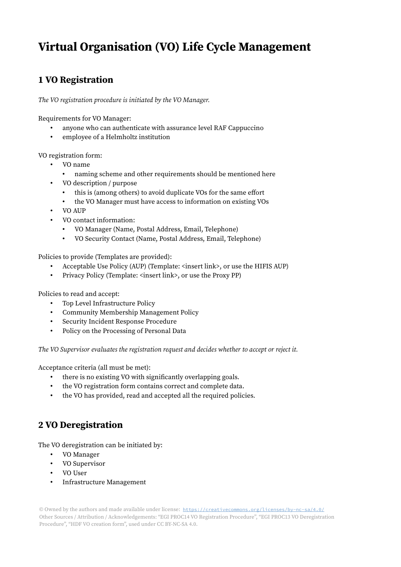## Virtual Organisation (VO) Life Cycle Management

## 1 VO Registration

The VO registration procedure is initiated by the VO Manager.

Requirements for VO Manager:

- anyone who can authenticate with assurance level RAF Cappuccino
- employee of a Helmholtz institution

VO registration form:

- VO name
	- naming scheme and other requirements should be mentioned here
- VO description / purpose
	- this is (among others) to avoid duplicate VOs for the same effort
	- the VO Manager must have access to information on existing VOs
- VO AUP
- VO contact information:
	- VO Manager (Name, Postal Address, Email, Telephone)
	- VO Security Contact (Name, Postal Address, Email, Telephone)

Policies to provide (Templates are provided):

- Acceptable Use Policy (AUP) (Template: <insert link>, or use the HIFIS AUP)
- Privacy Policy (Template: <insert link>, or use the Proxy PP)

Policies to read and accept:

- Top Level Infrastructure Policy
- Community Membership Management Policy
- Security Incident Response Procedure
- Policy on the Processing of Personal Data

The VO Supervisor evaluates the registration request and decides whether to accept or reject it.

Acceptance criteria (all must be met):

- there is no existing VO with significantly overlapping goals.
- the VO registration form contains correct and complete data.
- the VO has provided, read and accepted all the required policies.

## 2 VO Deregistration

The VO deregistration can be initiated by:

- VO Manager
- VO Supervisor
- VO User
- Infrastructure Management

© Owned by the authors and made available under license: https://creativecommons.org/licenses/by-nc-sa/4.0/ Other Sources / Attribution / Acknowledgements: "EGI PROC14 VO Registration Procedure", "EGI PROC13 VO Deregistration Procedure", "HDF VO creation form", used under CC BY-NC-SA 4.0.